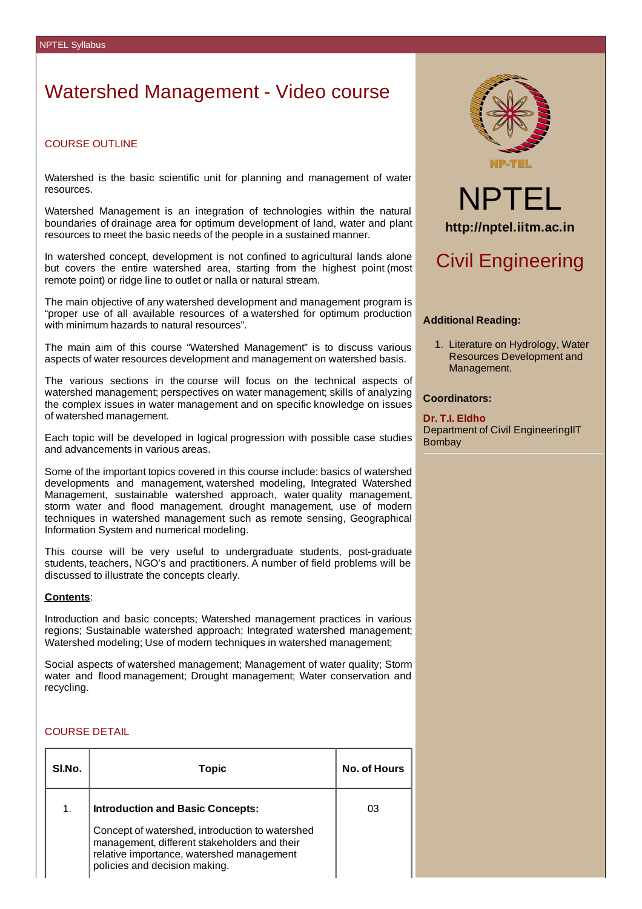# Watershed Management - Video course

# COURSE OUTLINE

Watershed is the basic scientific unit for planning and management of water resources.

Watershed Management is an integration of technologies within the natural boundaries of drainage area for optimum development of land, water and plant resources to meet the basic needs of the people in a sustained manner.

In watershed concept, development is not confined to agricultural lands alone but covers the entire watershed area, starting from the highest point (most remote point) or ridge line to outlet or nalla or natural stream.

The main objective of any watershed development and management program is "proper use of all available resources of a watershed for optimum production with minimum hazards to natural resources".

The main aim of this course "Watershed Management" is to discuss various aspects of water resources development and management on watershed basis.

The various sections in the course will focus on the technical aspects of watershed management; perspectives on water management; skills of analyzing the complex issues in water management and on specific knowledge on issues of watershed management.

Each topic will be developed in logical progression with possible case studies and advancements in various areas.

Some of the important topics covered in this course include: basics of watershed developments and management, watershed modeling, Integrated Watershed Management, sustainable watershed approach, water quality management, storm water and flood management, drought management, use of modern techniques in watershed management such as remote sensing, Geographical Information System and numerical modeling.

This course will be very useful to undergraduate students, post‐graduate students, teachers, NGO's and practitioners. A number of field problems will be discussed to illustrate the concepts clearly.

#### **Contents**:

Introduction and basic concepts; Watershed management practices in various regions; Sustainable watershed approach; Integrated watershed management; Watershed modeling; Use of modern techniques in watershed management;

Social aspects of watershed management; Management of water quality; Storm water and flood management; Drought management; Water conservation and recycling.

## COURSE DETAIL

| SI.No.         | Topic                                                                                                                                                                         | <b>No. of Hours</b> |
|----------------|-------------------------------------------------------------------------------------------------------------------------------------------------------------------------------|---------------------|
| $\mathbf{1}$ . | <b>Introduction and Basic Concepts:</b>                                                                                                                                       | 03                  |
|                | Concept of watershed, introduction to watershed<br>management, different stakeholders and their<br>relative importance, watershed management<br>policies and decision making. |                     |





# Civil Engineering

### **Additional Reading:**

1. Literature on Hydrology, Water Resources Development and Management.

### **Coordinators:**

**Dr. T.I. Eldho** Department of Civil EngineeringIIT Bombay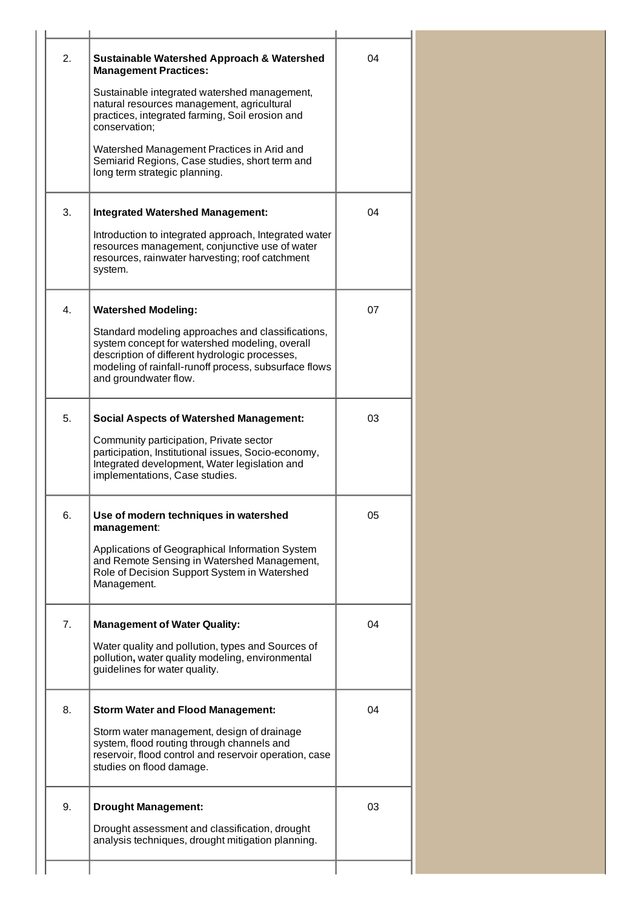| 2. | <b>Sustainable Watershed Approach &amp; Watershed</b><br><b>Management Practices:</b><br>Sustainable integrated watershed management,<br>natural resources management, agricultural<br>practices, integrated farming, Soil erosion and<br>conservation;<br>Watershed Management Practices in Arid and<br>Semiarid Regions, Case studies, short term and<br>long term strategic planning. | 04 |  |
|----|------------------------------------------------------------------------------------------------------------------------------------------------------------------------------------------------------------------------------------------------------------------------------------------------------------------------------------------------------------------------------------------|----|--|
| 3. | <b>Integrated Watershed Management:</b><br>Introduction to integrated approach, Integrated water<br>resources management, conjunctive use of water<br>resources, rainwater harvesting; roof catchment<br>system.                                                                                                                                                                         | 04 |  |
| 4. | <b>Watershed Modeling:</b><br>Standard modeling approaches and classifications,<br>system concept for watershed modeling, overall<br>description of different hydrologic processes,<br>modeling of rainfall-runoff process, subsurface flows<br>and groundwater flow.                                                                                                                    | 07 |  |
| 5. | <b>Social Aspects of Watershed Management:</b><br>Community participation, Private sector<br>participation, Institutional issues, Socio-economy,<br>Integrated development, Water legislation and<br>implementations, Case studies.                                                                                                                                                      | 03 |  |
| 6. | Use of modern techniques in watershed<br>management:<br>Applications of Geographical Information System<br>and Remote Sensing in Watershed Management,<br>Role of Decision Support System in Watershed<br>Management.                                                                                                                                                                    | 05 |  |
| 7. | <b>Management of Water Quality:</b><br>Water quality and pollution, types and Sources of<br>pollution, water quality modeling, environmental<br>guidelines for water quality.                                                                                                                                                                                                            | 04 |  |
| 8. | <b>Storm Water and Flood Management:</b><br>Storm water management, design of drainage<br>system, flood routing through channels and<br>reservoir, flood control and reservoir operation, case<br>studies on flood damage.                                                                                                                                                               | 04 |  |
| 9. | <b>Drought Management:</b><br>Drought assessment and classification, drought<br>analysis techniques, drought mitigation planning.                                                                                                                                                                                                                                                        | 03 |  |
|    |                                                                                                                                                                                                                                                                                                                                                                                          |    |  |